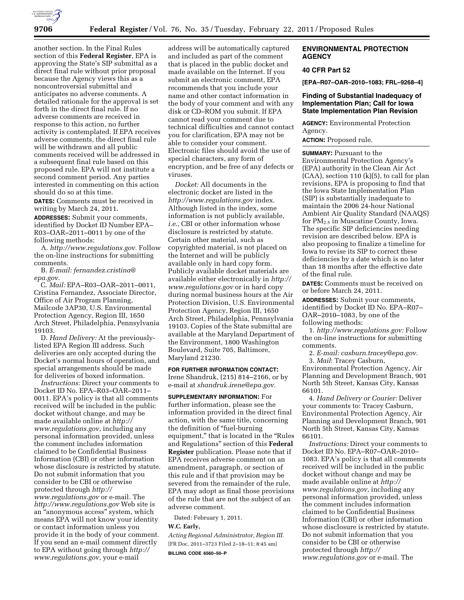

another section. In the Final Rules section of this **Federal Register**, EPA is approving the State's SIP submittal as a direct final rule without prior proposal because the Agency views this as a noncontroversial submittal and anticipates no adverse comments. A detailed rationale for the approval is set forth in the direct final rule. If no adverse comments are received in response to this action, no further activity is contemplated. If EPA receives adverse comments, the direct final rule will be withdrawn and all public comments received will be addressed in a subsequent final rule based on this proposed rule. EPA will not institute a second comment period. Any parties interested in commenting on this action should do so at this time.

**DATES:** Comments must be received in writing by March 24, 2011.

**ADDRESSES:** Submit your comments, identified by Docket ID Number EPA– R03–OAR–2011–0011 by one of the following methods:

A. *[http://www.regulations.gov.](http://www.regulations.gov)* Follow the on-line instructions for submitting comments.

B. *E-mail: [fernandez.cristina@](mailto:fernandez.cristina@epa.gov)  [epa.gov.](mailto:fernandez.cristina@epa.gov)* 

C. *Mail:* EPA–R03–OAR–2011–0011, Cristina Fernandez, Associate Director, Office of Air Program Planning, Mailcode 3AP30, U.S. Environmental Protection Agency, Region III, 1650 Arch Street, Philadelphia, Pennsylvania 19103.

D. *Hand Delivery:* At the previouslylisted EPA Region III address. Such deliveries are only accepted during the Docket's normal hours of operation, and special arrangements should be made for deliveries of boxed information.

*Instructions:* Direct your comments to Docket ID No. EPA–R03–OAR–2011– 0011. EPA's policy is that all comments received will be included in the public docket without change, and may be made available online at *[http://](http://www.regulations.gov)  [www.regulations.gov](http://www.regulations.gov)*, including any personal information provided, unless the comment includes information claimed to be Confidential Business Information (CBI) or other information whose disclosure is restricted by statute. Do not submit information that you consider to be CBI or otherwise protected through *[http://](http://www.regulations.gov)  [www.regulations.gov](http://www.regulations.gov)* or e-mail. The *<http://www.regulations.gov>* Web site is an ''anonymous access'' system, which means EPA will not know your identity or contact information unless you provide it in the body of your comment. If you send an e-mail comment directly to EPA without going through *[http://](http://www.regulations.gov) [www.regulations.gov](http://www.regulations.gov)*, your e-mail

address will be automatically captured and included as part of the comment that is placed in the public docket and made available on the Internet. If you submit an electronic comment, EPA recommends that you include your name and other contact information in the body of your comment and with any disk or CD–ROM you submit. If EPA cannot read your comment due to technical difficulties and cannot contact you for clarification, EPA may not be able to consider your comment. Electronic files should avoid the use of special characters, any form of encryption, and be free of any defects or viruses.

*Docket:* All documents in the electronic docket are listed in the *<http://www.regulations.gov>* index. Although listed in the index, some information is not publicly available, *i.e*., CBI or other information whose disclosure is restricted by statute. Certain other material, such as copyrighted material, is not placed on the Internet and will be publicly available only in hard copy form. Publicly available docket materials are available either electronically in *[http://](http://www.regulations.gov) [www.regulations.gov](http://www.regulations.gov)* or in hard copy during normal business hours at the Air Protection Division, U.S. Environmental Protection Agency, Region III, 1650 Arch Street, Philadelphia, Pennsylvania 19103. Copies of the State submittal are available at the Maryland Department of the Environment, 1800 Washington Boulevard, Suite 705, Baltimore, Maryland 21230.

**FOR FURTHER INFORMATION CONTACT:**  Irene Shandruk, (215) 814–2166, or by e-mail at *[shandruk.irene@epa.gov.](mailto:shandruk.irene@epa.gov)* 

**SUPPLEMENTARY INFORMATION:** For further information, please see the information provided in the direct final action, with the same title, concerning the definition of ''fuel-burning equipment,'' that is located in the ''Rules and Regulations'' section of this **Federal Register** publication. Please note that if EPA receives adverse comment on an amendment, paragraph, or section of this rule and if that provision may be severed from the remainder of the rule, EPA may adopt as final those provisions of the rule that are not the subject of an adverse comment.

Dated: February 1, 2011. **W.C. Early,** 

*Acting Regional Administrator, Region III.*  [FR Doc. 2011–3723 Filed 2–18–11; 8:45 am] **BILLING CODE 6560–50–P** 

## **ENVIRONMENTAL PROTECTION AGENCY**

## **40 CFR Part 52**

**[EPA–R07–OAR–2010–1083; FRL–9268–4]** 

## **Finding of Substantial Inadequacy of Implementation Plan; Call for Iowa State Implementation Plan Revision**

**AGENCY:** Environmental Protection Agency.

**ACTION:** Proposed rule.

**SUMMARY: Pursuant to the** Environmental Protection Agency's (EPA) authority in the Clean Air Act  $(CAA)$ , section 110  $(k)(5)$ , to call for plan revisions, EPA is proposing to find that the Iowa State Implementation Plan (SIP) is substantially inadequate to maintain the 2006 24-hour National Ambient Air Quality Standard (NAAQS) for PM2.5 in Muscatine County, Iowa. The specific SIP deficiencies needing revision are described below. EPA is also proposing to finalize a timeline for Iowa to revise its SIP to correct these deficiencies by a date which is no later than 18 months after the effective date of the final rule.

**DATES:** Comments must be received on or before March 24, 2011.

**ADDRESSES:** Submit your comments, identified by Docket ID No. EPA–R07– OAR–2010–1083, by one of the following methods:

1. *[http://www.regulations.gov:](http://www.regulations.gov)* Follow the on-line instructions for submitting comments.

2. *E-mail: [casburn.tracey@epa.gov.](mailto:casburn.tracey@epa.gov)*  3. *Mail*: Tracey Casburn, Environmental Protection Agency, Air Planning and Development Branch, 901 North 5th Street, Kansas City, Kansas 66101.

4. *Hand Delivery or Courier:* Deliver your comments to: Tracey Casburn, Environmental Protection Agency, Air Planning and Development Branch, 901 North 5th Street, Kansas City, Kansas 66101.

*Instructions:* Direct your comments to Docket ID No. EPA–R07–OAR–2010– 1083. EPA's policy is that all comments received will be included in the public docket without change and may be made available online at *[http://](http://www.regulations.gov)  [www.regulations.gov,](http://www.regulations.gov)* including any personal information provided, unless the comment includes information claimed to be Confidential Business Information (CBI) or other information whose disclosure is restricted by statute. Do not submit information that you consider to be CBI or otherwise protected through *[http://](http://www.regulations.gov)  [www.regulations.gov](http://www.regulations.gov)* or e-mail. The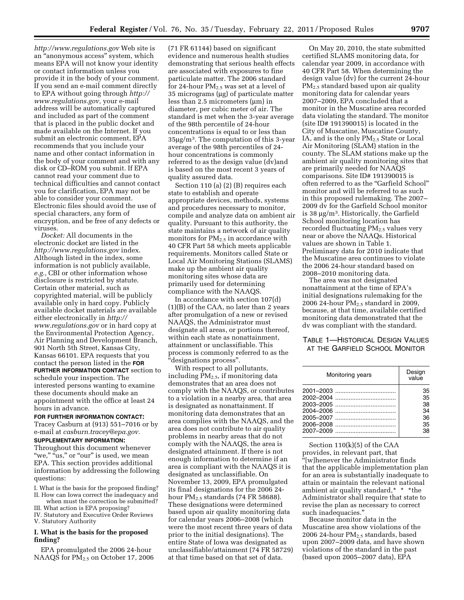*<http://www.regulations.gov>* Web site is an ''anonymous access'' system, which means EPA will not know your identity or contact information unless you provide it in the body of your comment. If you send an e-mail comment directly to EPA without going through *[http://](http://www.regulations.gov) [www.regulations.gov,](http://www.regulations.gov)* your e-mail address will be automatically captured and included as part of the comment that is placed in the public docket and made available on the Internet. If you submit an electronic comment, EPA recommends that you include your name and other contact information in the body of your comment and with any disk or CD–ROM you submit. If EPA cannot read your comment due to technical difficulties and cannot contact you for clarification, EPA may not be able to consider your comment. Electronic files should avoid the use of special characters, any form of encryption, and be free of any defects or viruses.

*Docket:* All documents in the electronic docket are listed in the *<http://www.regulations.gov>* index. Although listed in the index, some information is not publicly available, *e.g.,* CBI or other information whose disclosure is restricted by statute. Certain other material, such as copyrighted material, will be publicly available only in hard copy. Publicly available docket materials are available either electronically in *[http://](http://www.regulations.gov)  [www.regulations.gov](http://www.regulations.gov)* or in hard copy at the Environmental Protection Agency, Air Planning and Development Branch, 901 North 5th Street, Kansas City, Kansas 66101. EPA requests that you contact the person listed in the **FOR FURTHER INFORMATION CONTACT** section to schedule your inspection. The interested persons wanting to examine these documents should make an appointment with the office at least 24 hours in advance.

#### **FOR FURTHER INFORMATION CONTACT:**

Tracey Casburn at (913) 551–7016 or by e-mail at *[casburn.tracey@epa.gov.](mailto:casburn.tracey@epa.gov)* 

# **SUPPLEMENTARY INFORMATION:**

Throughout this document whenever "we," "us," or "our" is used, we mean EPA. This section provides additional information by addressing the following questions:

I. What is the basis for the proposed finding? II. How can Iowa correct the inadequacy and when must the correction be submitted?

III. What action is EPA proposing?

IV. Statutory and Executive Order Reviews V. Statutory Authority

#### **I. What is the basis for the proposed finding?**

EPA promulgated the 2006 24-hour NAAQS for PM2.5 on October 17, 2006

(71 FR 61144) based on significant evidence and numerous health studies demonstrating that serious health effects are associated with exposures to fine particulate matter. The 2006 standard for 24-hour  $PM_{2.5}$  was set at a level of 35 micrograms (μg) of particulate matter less than 2.5 micrometers (μm) in diameter, per cubic meter of air. The standard is met when the 3-year average of the 98th percentile of 24-hour concentrations is equal to or less than 35μg/m3. The computation of this 3-year average of the 98th percentiles of 24 hour concentrations is commonly referred to as the design value (dv)and is based on the most recent 3 years of quality assured data.

Section 110 (a) (2) (B) requires each state to establish and operate appropriate devices, methods, systems and procedures necessary to monitor, compile and analyze data on ambient air quality. Pursuant to this authority, the state maintains a network of air quality monitors for  $PM_{2.5}$  in accordance with 40 CFR Part 58 which meets applicable requirements. Monitors called State or Local Air Monitoring Stations (SLAMS) make up the ambient air quality monitoring sites whose data are primarily used for determining compliance with the NAAQS.

In accordance with section 107(d) (1)(B) of the CAA, no later than 2 years after promulgation of a new or revised NAAQS, the Administrator must designate all areas, or portions thereof, within each state as nonattainment, attainment or unclassifiable. This process is commonly referred to as the ''designations process''.

With respect to all pollutants, including PM2.5, if monitoring data demonstrates that an area does not comply with the NAAQS, or contributes to a violation in a nearby area, that area is designated as nonattainment. If monitoring data demonstrates that an area complies with the NAAQS, and the area does not contribute to air quality problems in nearby areas that do not comply with the NAAQS, the area is designated attainment. If there is not enough information to determine if an area is compliant with the NAAQS it is designated as unclassifiable. On November 13, 2009, EPA promulgated its final designations for the 2006 24 hour PM<sub>2.5</sub> standards (74 FR 58688). These designations were determined based upon air quality monitoring data for calendar years 2006–2008 (which were the most recent three years of data prior to the initial designations). The entire State of Iowa was designated as unclassifiable/attainment (74 FR 58729) at that time based on that set of data.

On May 20, 2010, the state submitted certified SLAMS monitoring data, for calendar year 2009, in accordance with 40 CFR Part 58. When determining the design value (dv) for the current 24-hour PM2.5 standard based upon air quality monitoring data for calendar years 2007–2009, EPA concluded that a monitor in the Muscatine area recorded data violating the standard. The monitor (site ID# 191390015) is located in the City of Muscatine, Muscatine County, IA, and is the only  $PM_{2.5}$  State or Local Air Monitoring (SLAM) station in the county. The SLAM stations make up the ambient air quality monitoring sites that are primarily needed for NAAQS comparisons. Site ID# 191390015 is often referred to as the ''Garfield School'' monitor and will be referred to as such in this proposed rulemaking. The 2007– 2009 dv for the Garfield School monitor is 38 μg/m3. Historically, the Garfield School monitoring location has recorded fluctuating PM<sub>2.5</sub> values very near or above the NAAQs. Historical values are shown in Table 1. Preliminary data for 2010 indicate that the Muscatine area continues to violate the 2006 24-hour standard based on 2008–2010 monitoring data.

The area was not designated nonattainment at the time of EPA's initial designations rulemaking for the 2006 24-hour  $PM<sub>2.5</sub>$  standard in 2009, because, at that time, available certified monitoring data demonstrated that the dv was compliant with the standard.

## TABLE 1—HISTORICAL DESIGN VALUES AT THE GARFIELD SCHOOL MONITOR

| Monitoring years | Design<br>value                        |
|------------------|----------------------------------------|
|                  | 35<br>35<br>38<br>34<br>36<br>35<br>38 |
|                  |                                        |

Section 110(k)(5) of the CAA provides, in relevant part, that ''[w]henever the Administrator finds that the applicable implementation plan for an area is substantially inadequate to attain or maintain the relevant national ambient air quality standard,\* \* \*the Administrator shall require that state to revise the plan as necessary to correct such inadequacies.''

Because monitor data in the Muscatine area show violations of the 2006 24-hour  $PM_{2.5}$  standards, based upon 2007–2009 data, and have shown violations of the standard in the past (based upon 2005–2007 data), EPA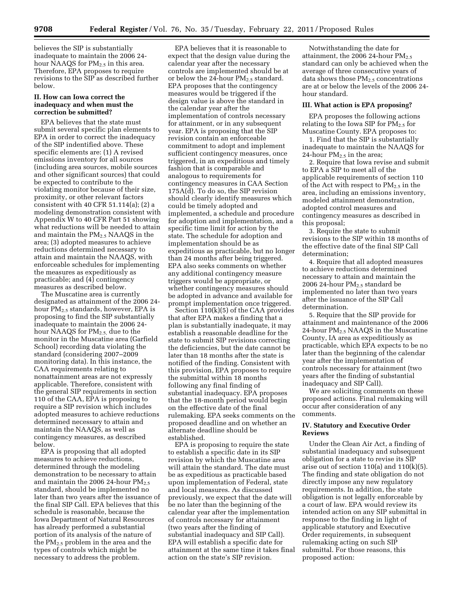believes the SIP is substantially inadequate to maintain the 2006 24 hour NAAQS for  $PM_{2.5}$  in this area. Therefore, EPA proposes to require revisions to the SIP as described further below.

#### **II. How can Iowa correct the inadequacy and when must the correction be submitted?**

EPA believes that the state must submit several specific plan elements to EPA in order to correct the inadequacy of the SIP indentified above. These specific elements are: (1) A revised emissions inventory for all sources (including area sources, mobile sources and other significant sources) that could be expected to contribute to the violating monitor because of their size, proximity, or other relevant factors consistent with 40 CFR 51.114(a); (2) a modeling demonstration consistent with Appendix W to 40 CFR Part 51 showing what reductions will be needed to attain and maintain the  $PM_{2.5}$  NAAQS in the area; (3) adopted measures to achieve reductions determined necessary to attain and maintain the NAAQS, with enforceable schedules for implementing the measures as expeditiously as practicable; and (4) contingency measures as described below.

The Muscatine area is currently designated as attainment of the 2006 24 hour PM2.5 standards, however, EPA is proposing to find the SIP substantially inadequate to maintain the 2006 24 hour NAAQS for  $PM_{2.5}$  due to the monitor in the Muscatine area (Garfield School) recording data violating the standard (considering 2007–2009 monitoring data). In this instance, the CAA requirements relating to nonattainment areas are not expressly applicable. Therefore, consistent with the general SIP requirements in section 110 of the CAA, EPA is proposing to require a SIP revision which includes adopted measures to achieve reductions determined necessary to attain and maintain the NAAQS, as well as contingency measures, as described below.

EPA is proposing that all adopted measures to achieve reductions, determined through the modeling demonstration to be necessary to attain and maintain the 2006 24-hour  $PM_{2.5}$ standard, should be implemented no later than two years after the issuance of the final SIP Call. EPA believes that this schedule is reasonable, because the Iowa Department of Natural Resources has already performed a substantial portion of its analysis of the nature of the  $PM_{2.5}$  problem in the area and the types of controls which might be necessary to address the problem.

EPA believes that it is reasonable to expect that the design value during the calendar year after the necessary controls are implemented should be at or below the 24-hour  $PM_{2.5}$  standard. EPA proposes that the contingency measures would be triggered if the design value is above the standard in the calendar year after the implementation of controls necessary for attainment, or in any subsequent year. EPA is proposing that the SIP revision contain an enforceable commitment to adopt and implement sufficient contingency measures, once triggered, in an expeditious and timely fashion that is comparable and analogous to requirements for contingency measures in CAA Section 175A(d). To do so, the SIP revision should clearly identify measures which could be timely adopted and implemented, a schedule and procedure for adoption and implementation, and a specific time limit for action by the state. The schedule for adoption and implementation should be as expeditious as practicable, but no longer than 24 months after being triggered. EPA also seeks comments on whether any additional contingency measure triggers would be appropriate, or whether contingency measures should be adopted in advance and available for prompt implementation once triggered.

Section  $110(k)(5)$  of the CAA provides that after EPA makes a finding that a plan is substantially inadequate, it may establish a reasonable deadline for the state to submit SIP revisions correcting the deficiencies, but the date cannot be later than 18 months after the state is notified of the finding. Consistent with this provision, EPA proposes to require the submittal within 18 months following any final finding of substantial inadequacy. EPA proposes that the 18-month period would begin on the effective date of the final rulemaking. EPA seeks comments on the proposed deadline and on whether an alternate deadline should be established.

EPA is proposing to require the state to establish a specific date in its SIP revision by which the Muscatine area will attain the standard. The date must be as expeditious as practicable based upon implementation of Federal, state and local measures. As discussed previously, we expect that the date will be no later than the beginning of the calendar year after the implementation of controls necessary for attainment (two years after the finding of substantial inadequacy and SIP Call). EPA will establish a specific date for attainment at the same time it takes final action on the state's SIP revision.

Notwithstanding the date for attainment, the 2006 24-hour  $PM<sub>2.5</sub>$ standard can only be achieved when the average of three consecutive years of data shows those  $PM_{2.5}$  concentrations are at or below the levels of the 2006 24 hour standard.

#### **III. What action is EPA proposing?**

EPA proposes the following actions relating to the Iowa SIP for  $PM_{2.5}$  for Muscatine County. EPA proposes to:

1. Find that the SIP is substantially inadequate to maintain the NAAQS for 24-hour  $PM_{2.5}$  in the area;

2. Require that Iowa revise and submit to EPA a SIP to meet all of the applicable requirements of section 110 of the Act with respect to  $PM_{2.5}$  in the area, including an emissions inventory, modeled attainment demonstration, adopted control measures and contingency measures as described in this proposal;

3. Require the state to submit revisions to the SIP within 18 months of the effective date of the final SIP Call determination;

4. Require that all adopted measures to achieve reductions determined necessary to attain and maintain the 2006 24-hour  $PM_{2.5}$  standard be implemented no later than two years after the issuance of the SIP Call determination.

5. Require that the SIP provide for attainment and maintenance of the 2006 24-hour PM2.5 NAAQS in the Muscatine County, IA area as expeditiously as practicable, which EPA expects to be no later than the beginning of the calendar year after the implementation of controls necessary for attainment (two years after the finding of substantial inadequacy and SIP Call).

We are soliciting comments on these proposed actions. Final rulemaking will occur after consideration of any comments.

#### **IV. Statutory and Executive Order Reviews**

Under the Clean Air Act, a finding of substantial inadequacy and subsequent obligation for a state to revise its SIP arise out of section  $110(a)$  and  $110(k)(5)$ . The finding and state obligation do not directly impose any new regulatory requirements. In addition, the state obligation is not legally enforceable by a court of law. EPA would review its intended action on any SIP submittal in response to the finding in light of applicable statutory and Executive Order requirements, in subsequent rulemaking acting on such SIP submittal. For those reasons, this proposed action: